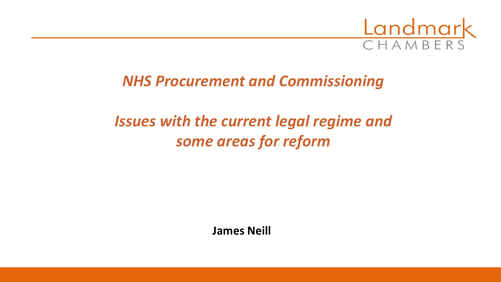

### *NHS Procurement and Commissioning*

# *Issues with the current legal regime and some areas for reform*

**James Neill**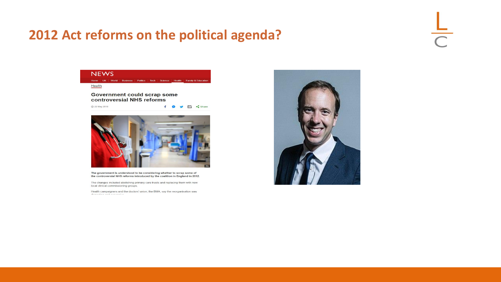#### **2012 Act reforms on the political agenda?**

 $\frac{1}{\sqrt{2}}$ 



The government is understood to be considering whether to scrap some of the controversial NHS reforms introduced by the coalition in England in 2012.

The changes included abolishing primary care trusts and replacing them with new local clinical commissioning groups.

Health campaigners and the doctors' union, the BMA, say the reorganisation was

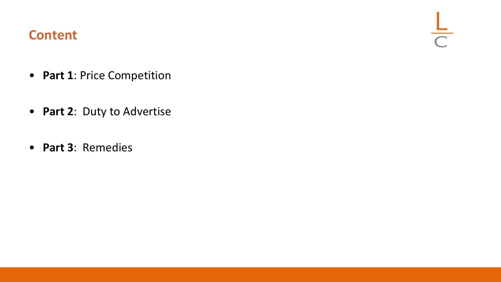#### **Content**

 $rac{L}{C}$ 

- **Part 1**: Price Competition
- **Part 2**: Duty to Advertise
- **Part 3**: Remedies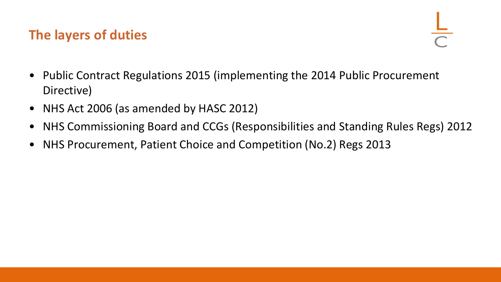### **The layers of duties**

- Public Contract Regulations 2015 (implementing the 2014 Public Procurement Directive)
- NHS Act 2006 (as amended by HASC 2012)
- NHS Commissioning Board and CCGs (Responsibilities and Standing Rules Regs) 2012
- NHS Procurement, Patient Choice and Competition (No.2) Regs 2013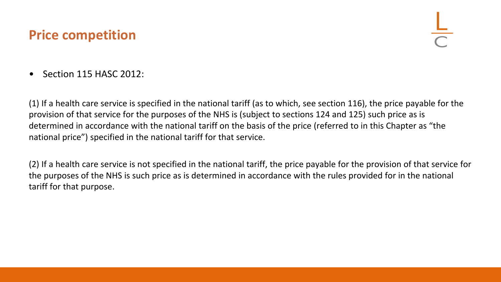#### **Price competition**

• Section 115 HASC 2012:

(1) If a health care service is specified in the national tariff (as to which, see section 116), the price payable for the provision of that service for the purposes of the NHS is (subject to sections 124 and 125) such price as is determined in accordance with the national tariff on the basis of the price (referred to in this Chapter as "the national price") specified in the national tariff for that service.

(2) If a health care service is not specified in the national tariff, the price payable for the provision of that service for the purposes of the NHS is such price as is determined in accordance with the rules provided for in the national tariff for that purpose.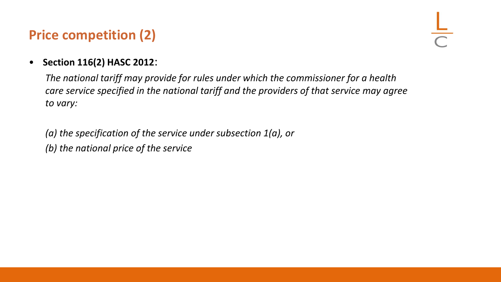## **Price competition (2)**

#### • **Section 116(2) HASC 2012**:

*The national tariff may provide for rules under which the commissioner for a health care service specified in the national tariff and the providers of that service may agree to vary:*

*(a) the specification of the service under subsection 1(a), or (b) the national price of the service*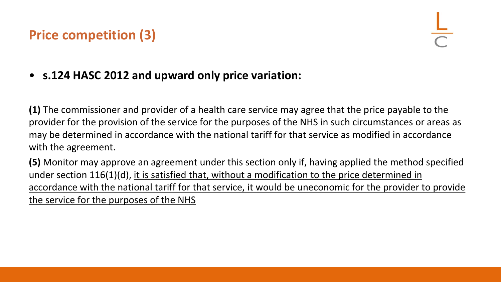### **Price competition (3)**

• **s.124 HASC 2012 and upward only price variation:**

**(1)** The commissioner and provider of a health care service may agree that the price payable to the provider for the provision of the service for the purposes of the NHS in such circumstances or areas as may be determined in accordance with the national tariff for that service as modified in accordance with the agreement.

**(5)** Monitor may approve an agreement under this section only if, having applied the method specified under section 116(1)(d), it is satisfied that, without a modification to the price determined in accordance with the national tariff for that service, it would be uneconomic for the provider to provide the service for the purposes of the NHS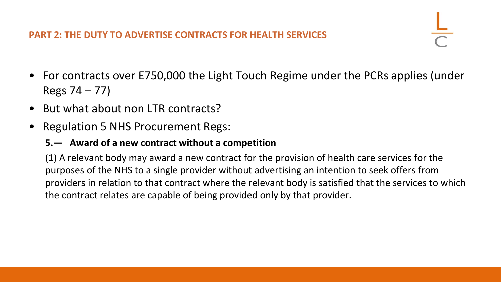#### **PART 2: THE DUTY TO ADVERTISE CONTRACTS FOR HEALTH SERVICES**

- For contracts over E750,000 the Light Touch Regime under the PCRs applies (under Regs 74 – 77)
- But what about non LTR contracts?
- Regulation 5 NHS Procurement Regs:

#### **5.— Award of a new contract without a competition**

(1) A relevant body may award a new contract for the provision of health care services for the purposes of the NHS to a single provider without advertising an intention to seek offers from providers in relation to that contract where the relevant body is satisfied that the services to which the contract relates are capable of being provided only by that provider.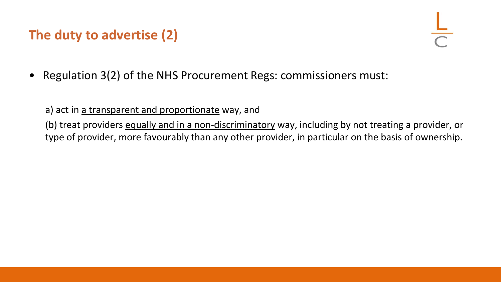## **The duty to advertise (2)**

• Regulation 3(2) of the NHS Procurement Regs: commissioners must:

a) act in a transparent and proportionate way, and

(b) treat providers equally and in a non-discriminatory way, including by not treating a provider, or type of provider, more favourably than any other provider, in particular on the basis of ownership.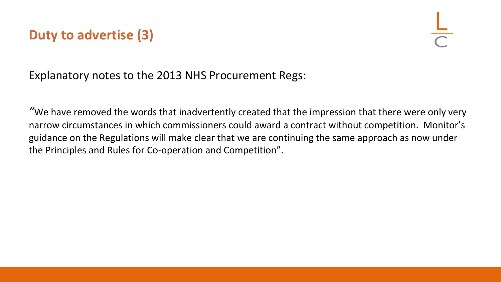### **Duty to advertise (3)**

Explanatory notes to the 2013 NHS Procurement Regs:

*"*We have removed the words that inadvertently created that the impression that there were only very narrow circumstances in which commissioners could award a contract without competition. Monitor's guidance on the Regulations will make clear that we are continuing the same approach as now under the Principles and Rules for Co-operation and Competition".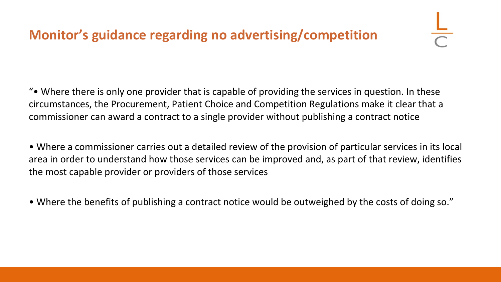## **Monitor's guidance regarding no advertising/competition**

"• Where there is only one provider that is capable of providing the services in question. In these circumstances, the Procurement, Patient Choice and Competition Regulations make it clear that a commissioner can award a contract to a single provider without publishing a contract notice

• Where a commissioner carries out a detailed review of the provision of particular services in its local area in order to understand how those services can be improved and, as part of that review, identifies the most capable provider or providers of those services

• Where the benefits of publishing a contract notice would be outweighed by the costs of doing so."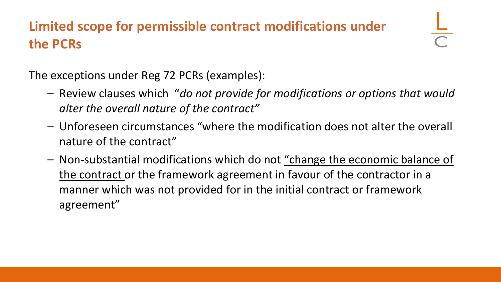## **Limited scope for permissible contract modifications under the PCRs**

The exceptions under Reg 72 PCRs (examples):

- Review clauses which "*do not provide for modifications or options that would alter the overall nature of the contract"*
- Unforeseen circumstances "where the modification does not alter the overall nature of the contract"
- Non-substantial modifications which do not "change the economic balance of the contract or the framework agreement in favour of the contractor in a manner which was not provided for in the initial contract or framework agreement"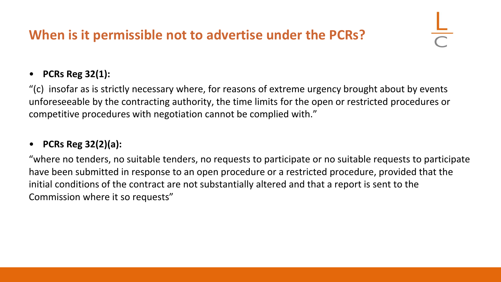## **When is it permissible not to advertise under the PCRs?**

#### • **PCRs Reg 32(1):**

"(c) insofar as is strictly necessary where, for reasons of extreme urgency brought about by events unforeseeable by the contracting authority, the time limits for the open or restricted procedures or competitive procedures with negotiation cannot be complied with."

#### • **PCRs Reg 32(2)(a):**

"where no tenders, no suitable tenders, no requests to participate or no suitable requests to participate have been submitted in response to an open procedure or a restricted procedure, provided that the initial conditions of the contract are not substantially altered and that a report is sent to the Commission where it so requests"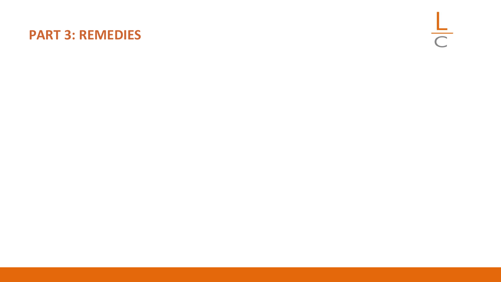#### **PART 3: REMEDIES**

 $rac{L}{C}$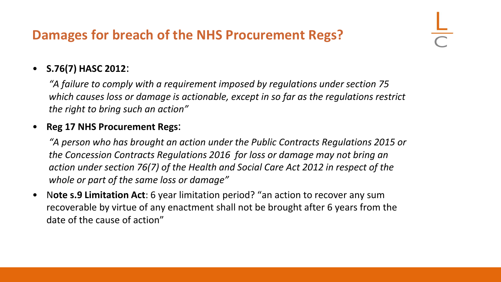### **Damages for breach of the NHS Procurement Regs?**

#### • **S.76(7) HASC 2012**:

*"A failure to comply with a requirement imposed by regulations under section 75 which causes loss or damage is actionable, except in so far as the regulations restrict the right to bring such an action"*

#### • **Reg 17 NHS Procurement Regs**:

*"A person who has brought an action under the Public Contracts Regulations 2015 or the Concession Contracts Regulations 2016 for loss or damage may not bring an action under section 76(7) of the Health and Social Care Act 2012 in respect of the whole or part of the same loss or damage"*

• N**ote s.9 Limitation Act**: 6 year limitation period? "an action to recover any sum recoverable by virtue of any enactment shall not be brought after 6 years from the date of the cause of action"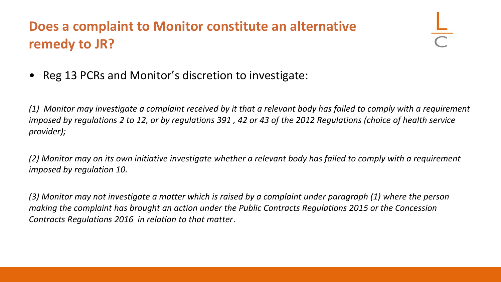## **Does a complaint to Monitor constitute an alternative remedy to JR?**

• Reg 13 PCRs and Monitor's discretion to investigate:

*(1) Monitor may investigate a complaint received by it that a relevant body has failed to comply with a requirement imposed by regulations 2 to 12, or by regulations 391 , 42 or 43 of the 2012 Regulations (choice of health service provider);*

*(2) Monitor may on its own initiative investigate whether a relevant body has failed to comply with a requirement imposed by regulation 10.*

*(3) Monitor may not investigate a matter which is raised by a complaint under paragraph (1) where the person making the complaint has brought an action under the Public Contracts Regulations 2015 or the Concession Contracts Regulations 2016 in relation to that matter*.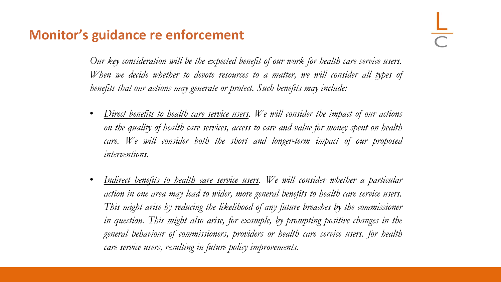#### **Monitor's guidance re enforcement**

*Our key consideration will be the expected benefit of our work for health care service users. When we decide whether to devote resources to a matter, we will consider all types of benefits that our actions may generate or protect. Such benefits may include:*

- *Direct benefits to health care service users. We will consider the impact of our actions on the quality of health care services, access to care and value for money spent on health care. We will consider both the short and longer-term impact of our proposed interventions.*
- *Indirect benefits to health care service users. We will consider whether a particular action in one area may lead to wider, more general benefits to health care service users. This might arise by reducing the likelihood of any future breaches by the commissioner in question. This might also arise, for example, by prompting positive changes in the general behaviour of commissioners, providers or health care service users. for health care service users, resulting in future policy improvements.*